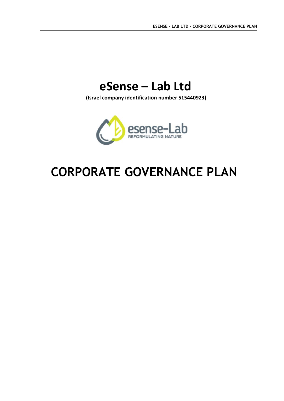# **eSense – Lab Ltd**

 **(Israel company identification number 515440923)**



# **CORPORATE GOVERNANCE PLAN**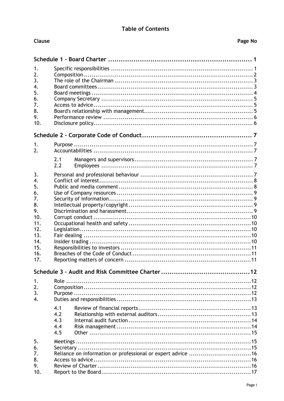### **Table of Contents**

Clause

| 1.                     |                                                             |  |  |  |  |  |
|------------------------|-------------------------------------------------------------|--|--|--|--|--|
| 2.                     |                                                             |  |  |  |  |  |
| 3.                     |                                                             |  |  |  |  |  |
| 4.<br>5.               |                                                             |  |  |  |  |  |
| 6.                     |                                                             |  |  |  |  |  |
| 7.                     |                                                             |  |  |  |  |  |
| 8.                     |                                                             |  |  |  |  |  |
| 9.                     |                                                             |  |  |  |  |  |
| 10.                    |                                                             |  |  |  |  |  |
|                        |                                                             |  |  |  |  |  |
|                        |                                                             |  |  |  |  |  |
| 1.<br>2.               |                                                             |  |  |  |  |  |
|                        | 2.1                                                         |  |  |  |  |  |
|                        | 2.2                                                         |  |  |  |  |  |
|                        |                                                             |  |  |  |  |  |
| 3.<br>$\overline{4}$ . |                                                             |  |  |  |  |  |
| 5.                     |                                                             |  |  |  |  |  |
| 6.                     |                                                             |  |  |  |  |  |
| 7.                     |                                                             |  |  |  |  |  |
| 8.                     |                                                             |  |  |  |  |  |
| 9.                     |                                                             |  |  |  |  |  |
| 10.                    |                                                             |  |  |  |  |  |
| 11.<br>12.             |                                                             |  |  |  |  |  |
| 13.                    |                                                             |  |  |  |  |  |
| 14.                    |                                                             |  |  |  |  |  |
| 15.                    |                                                             |  |  |  |  |  |
| 16.                    |                                                             |  |  |  |  |  |
| 17.                    |                                                             |  |  |  |  |  |
|                        |                                                             |  |  |  |  |  |
| 1.                     |                                                             |  |  |  |  |  |
| 2.                     |                                                             |  |  |  |  |  |
| 3.                     |                                                             |  |  |  |  |  |
| 4.                     |                                                             |  |  |  |  |  |
|                        | 4.1                                                         |  |  |  |  |  |
|                        | 4.2                                                         |  |  |  |  |  |
|                        | 4.3                                                         |  |  |  |  |  |
|                        | 4.4                                                         |  |  |  |  |  |
|                        | 4.5                                                         |  |  |  |  |  |
| 5.                     |                                                             |  |  |  |  |  |
| 6.                     |                                                             |  |  |  |  |  |
| 7.                     | Reliance on information or professional or expert advice 16 |  |  |  |  |  |
| 8.                     |                                                             |  |  |  |  |  |
| 9.<br>10.              |                                                             |  |  |  |  |  |
|                        |                                                             |  |  |  |  |  |

Page No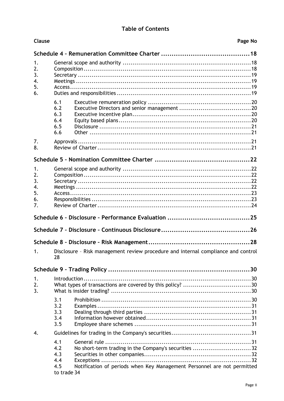### **Table of Contents**

| Clause                                 | Page No                                                                                                                                                                           |  |  |  |  |  |
|----------------------------------------|-----------------------------------------------------------------------------------------------------------------------------------------------------------------------------------|--|--|--|--|--|
|                                        |                                                                                                                                                                                   |  |  |  |  |  |
| 1.<br>2.<br>3.<br>4.<br>5.<br>6.       |                                                                                                                                                                                   |  |  |  |  |  |
|                                        | 6.1<br>6.2<br>6.3<br>6.4<br>6.5<br>6.6                                                                                                                                            |  |  |  |  |  |
| 7.<br>8.                               |                                                                                                                                                                                   |  |  |  |  |  |
|                                        |                                                                                                                                                                                   |  |  |  |  |  |
| 1.<br>2.<br>3.<br>4.<br>5.<br>6.<br>7. |                                                                                                                                                                                   |  |  |  |  |  |
|                                        |                                                                                                                                                                                   |  |  |  |  |  |
|                                        |                                                                                                                                                                                   |  |  |  |  |  |
|                                        |                                                                                                                                                                                   |  |  |  |  |  |
| 1.                                     | Disclosure - Risk management review procedure and internal compliance and control<br>28                                                                                           |  |  |  |  |  |
|                                        |                                                                                                                                                                                   |  |  |  |  |  |
| 1.<br>2.<br>3.                         | $Introduction \dots 30$                                                                                                                                                           |  |  |  |  |  |
|                                        | 3.1<br>3.2<br>3.3<br>3.4<br>3.5                                                                                                                                                   |  |  |  |  |  |
| 4.                                     |                                                                                                                                                                                   |  |  |  |  |  |
|                                        | 4.1<br>No short-term trading in the Company's securities 32<br>4.2<br>4.3<br>4.4<br>Notification of periods when Key Management Personnel are not permitted<br>4.5<br>to trade 34 |  |  |  |  |  |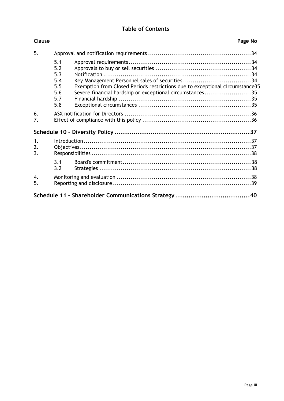# **Table of Contents**

| <b>Clause</b>          |                                                      |                                                                                                                                          | Page No |  |  |
|------------------------|------------------------------------------------------|------------------------------------------------------------------------------------------------------------------------------------------|---------|--|--|
| 5.                     |                                                      |                                                                                                                                          |         |  |  |
|                        | 5.1<br>5.2<br>5.3<br>5.4<br>5.5<br>5.6<br>5.7<br>5.8 | Exemption from Closed Periods restrictions due to exceptional circumstance35<br>Severe financial hardship or exceptional circumstances35 |         |  |  |
| 6.<br>7.               |                                                      |                                                                                                                                          |         |  |  |
|                        |                                                      |                                                                                                                                          |         |  |  |
| 1.<br>2.<br>3.         |                                                      |                                                                                                                                          |         |  |  |
|                        | 3.1<br>3.2                                           |                                                                                                                                          |         |  |  |
| $\overline{4}$ .<br>5. |                                                      |                                                                                                                                          |         |  |  |
|                        |                                                      |                                                                                                                                          |         |  |  |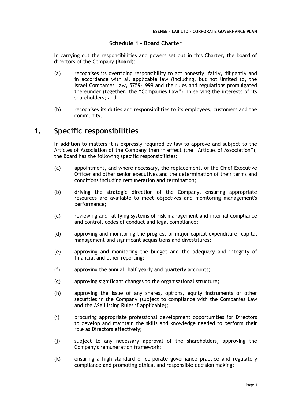#### **Schedule 1 – Board Charter**

In carrying out the responsibilities and powers set out in this Charter, the board of directors of the Company (**Board**):

- (a) recognises its overriding responsibility to act honestly, fairly, diligently and in accordance with all applicable law (including, but not limited to, the Israel Companies Law, 5759-1999 and the rules and regulations promulgated thereunder (together, the "Companies Law"), in serving the interests of its shareholders; and
- (b) recognises its duties and responsibilities to its employees, customers and the community.

# **1. Specific responsibilities**

In addition to matters it is expressly required by law to approve and subject to the Articles of Association of the Company then in effect (the "Articles of Association"), the Board has the following specific responsibilities:

- (a) appointment, and where necessary, the replacement, of the Chief Executive Officer and other senior executives and the determination of their terms and conditions including remuneration and termination;
- (b) driving the strategic direction of the Company, ensuring appropriate resources are available to meet objectives and monitoring management's performance;
- (c) reviewing and ratifying systems of risk management and internal compliance and control, codes of conduct and legal compliance;
- (d) approving and monitoring the progress of major capital expenditure, capital management and significant acquisitions and divestitures;
- (e) approving and monitoring the budget and the adequacy and integrity of financial and other reporting;
- (f) approving the annual, half yearly and quarterly accounts;
- (g) approving significant changes to the organisational structure;
- (h) approving the issue of any shares, options, equity instruments or other securities in the Company (subject to compliance with the Companies Law and the ASX Listing Rules if applicable);
- (i) procuring appropriate professional development opportunities for Directors to develop and maintain the skills and knowledge needed to perform their role as Directors effectively;
- (j) subject to any necessary approval of the shareholders, approving the Company's remuneration framework;
- (k) ensuring a high standard of corporate governance practice and regulatory compliance and promoting ethical and responsible decision making;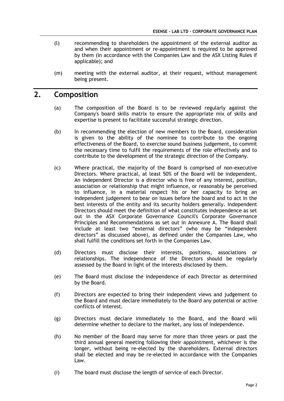- (l) recommending to shareholders the appointment of the external auditor as and when their appointment or re-appointment is required to be approved by them (in accordance with the Companies Law and the ASX Listing Rules if applicable); and
- (m) meeting with the external auditor, at their request, without management being present.

# **2. Composition**

- (a) The composition of the Board is to be reviewed regularly against the Company's board skills matrix to ensure the appropriate mix of skills and expertise is present to facilitate successful strategic direction.
- (b) In recommending the election of new members to the Board, consideration is given to the ability of the nominee to contribute to the ongoing effectiveness of the Board, to exercise sound business judgement, to commit the necessary time to fulfil the requirements of the role effectively and to contribute to the development of the strategic direction of the Company.
- (c) Where practical, the majority of the Board is comprised of non-executive Directors. Where practical, at least 50% of the Board will be independent. An independent Director is a director who is free of any interest, position, association or relationship that might influence, or reasonably be perceived to influence, in a material respect his or her capacity to bring an independent judgement to bear on issues before the board and to act in the best interests of the entity and its security holders generally. Independent Directors should meet the definition of what constitutes independence as set out in the ASX Corporate Governance Council's Corporate Governance Principles and Recommendations as set out in Annexure A. The Board shall include at least two "external directors" (who may be "independent directors" as discussed above), as defined under the Companies Law, who shall fulfill the conditions set forth in the Companies Law.
- (d) Directors must disclose their interests, positions, associations or relationships. The independence of the Directors should be regularly assessed by the Board in light of the interests disclosed by them.
- (e) The Board must disclose the independence of each Director as determined by the Board.
- (f) Directors are expected to bring their independent views and judgement to the Board and must declare immediately to the Board any potential or active conflicts of interest.
- (g) Directors must declare immediately to the Board, and the Board will determine whether to declare to the market, any loss of independence.
- (h) No member of the Board may serve for more than three years or past the third annual general meeting following their appointment, whichever is the longer, without being re-elected by the shareholders. External directors shall be elected and may be re-elected in accordance with the Companies Law.
- (i) The board must disclose the length of service of each Director.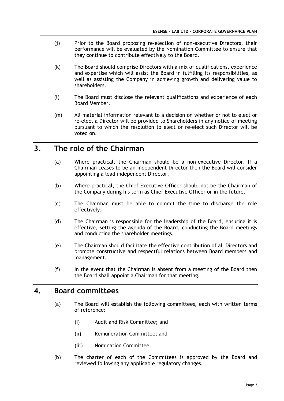- (j) Prior to the Board proposing re-election of non-executive Directors, their performance will be evaluated by the Nomination Committee to ensure that they continue to contribute effectively to the Board.
- (k) The Board should comprise Directors with a mix of qualifications, experience and expertise which will assist the Board in fulfilling its responsibilities, as well as assisting the Company in achieving growth and delivering value to shareholders.
- (l) The Board must disclose the relevant qualifications and experience of each Board Member.
- (m) All material information relevant to a decision on whether or not to elect or re-elect a Director will be provided to Shareholders in any notice of meeting pursuant to which the resolution to elect or re-elect such Director will be voted on.

# **3. The role of the Chairman**

- (a) Where practical, the Chairman should be a non-executive Director. If a Chairman ceases to be an independent Director then the Board will consider appointing a lead independent Director.
- (b) Where practical, the Chief Executive Officer should not be the Chairman of the Company during his term as Chief Executive Officer or in the future.
- (c) The Chairman must be able to commit the time to discharge the role effectively.
- (d) The Chairman is responsible for the leadership of the Board, ensuring it is effective, setting the agenda of the Board, conducting the Board meetings and conducting the shareholder meetings.
- (e) The Chairman should facilitate the effective contribution of all Directors and promote constructive and respectful relations between Board members and management.
- (f) In the event that the Chairman is absent from a meeting of the Board then the Board shall appoint a Chairman for that meeting.

# **4. Board committees**

- (a) The Board will establish the following committees, each with written terms of reference:
	- (i) Audit and Risk Committee; and
	- (ii) Remuneration Committee; and
	- (iii) Nomination Committee.
- (b) The charter of each of the Committees is approved by the Board and reviewed following any applicable regulatory changes.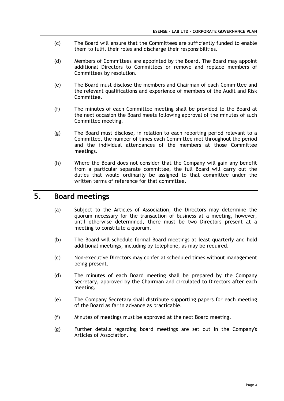- (c) The Board will ensure that the Committees are sufficiently funded to enable them to fulfil their roles and discharge their responsibilities.
- (d) Members of Committees are appointed by the Board. The Board may appoint additional Directors to Committees or remove and replace members of Committees by resolution.
- (e) The Board must disclose the members and Chairman of each Committee and the relevant qualifications and experience of members of the Audit and Risk Committee.
- (f) The minutes of each Committee meeting shall be provided to the Board at the next occasion the Board meets following approval of the minutes of such Committee meeting.
- (g) The Board must disclose, in relation to each reporting period relevant to a Committee, the number of times each Committee met throughout the period and the individual attendances of the members at those Committee meetings.
- (h) Where the Board does not consider that the Company will gain any benefit from a particular separate committee, the full Board will carry out the duties that would ordinarily be assigned to that committee under the written terms of reference for that committee.

# **5. Board meetings**

- (a) Subject to the Articles of Association, the Directors may determine the quorum necessary for the transaction of business at a meeting, however, until otherwise determined, there must be two Directors present at a meeting to constitute a quorum.
- (b) The Board will schedule formal Board meetings at least quarterly and hold additional meetings, including by telephone, as may be required.
- (c) Non-executive Directors may confer at scheduled times without management being present.
- (d) The minutes of each Board meeting shall be prepared by the Company Secretary, approved by the Chairman and circulated to Directors after each meeting.
- (e) The Company Secretary shall distribute supporting papers for each meeting of the Board as far in advance as practicable.
- (f) Minutes of meetings must be approved at the next Board meeting.
- (g) Further details regarding board meetings are set out in the Company's Articles of Association.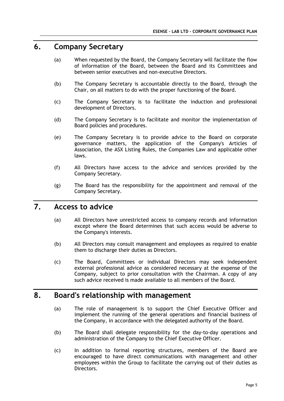# **6. Company Secretary**

- (a) When requested by the Board, the Company Secretary will facilitate the flow of information of the Board, between the Board and its Committees and between senior executives and non-executive Directors.
- (b) The Company Secretary is accountable directly to the Board, through the Chair, on all matters to do with the proper functioning of the Board.
- (c) The Company Secretary is to facilitate the induction and professional development of Directors.
- (d) The Company Secretary is to facilitate and monitor the implementation of Board policies and procedures.
- (e) The Company Secretary is to provide advice to the Board on corporate governance matters, the application of the Company's Articles of Association, the ASX Listing Rules, the Companies Law and applicable other laws.
- (f) All Directors have access to the advice and services provided by the Company Secretary.
- (g) The Board has the responsibility for the appointment and removal of the Company Secretary.

# **7. Access to advice**

- (a) All Directors have unrestricted access to company records and information except where the Board determines that such access would be adverse to the Company's interests.
- (b) All Directors may consult management and employees as required to enable them to discharge their duties as Directors.
- (c) The Board, Committees or individual Directors may seek independent external professional advice as considered necessary at the expense of the Company, subject to prior consultation with the Chairman. A copy of any such advice received is made available to all members of the Board.

# **8. Board's relationship with management**

- (a) The role of management is to support the Chief Executive Officer and implement the running of the general operations and financial business of the Company, in accordance with the delegated authority of the Board.
- (b) The Board shall delegate responsibility for the day-to-day operations and administration of the Company to the Chief Executive Officer.
- (c) In addition to formal reporting structures, members of the Board are encouraged to have direct communications with management and other employees within the Group to facilitate the carrying out of their duties as Directors.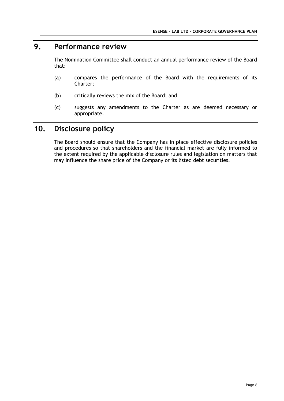# **9. Performance review**

The Nomination Committee shall conduct an annual performance review of the Board that:

- (a) compares the performance of the Board with the requirements of its Charter;
- (b) critically reviews the mix of the Board; and
- (c) suggests any amendments to the Charter as are deemed necessary or appropriate.

# **10. Disclosure policy**

The Board should ensure that the Company has in place effective disclosure policies and procedures so that shareholders and the financial market are fully informed to the extent required by the applicable disclosure rules and legislation on matters that may influence the share price of the Company or its listed debt securities.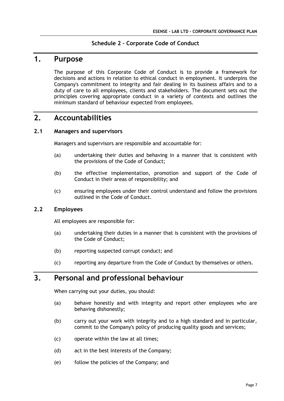#### **Schedule 2 – Corporate Code of Conduct**

# **1. Purpose**

The purpose of this Corporate Code of Conduct is to provide a framework for decisions and actions in relation to ethical conduct in employment. It underpins the Company's commitment to integrity and fair dealing in its business affairs and to a duty of care to all employees, clients and stakeholders. The document sets out the principles covering appropriate conduct in a variety of contexts and outlines the minimum standard of behaviour expected from employees.

# **2. Accountabilities**

#### **2.1 Managers and supervisors**

Managers and supervisors are responsible and accountable for:

- (a) undertaking their duties and behaving in a manner that is consistent with the provisions of the Code of Conduct;
- (b) the effective implementation, promotion and support of the Code of Conduct in their areas of responsibility; and
- (c) ensuring employees under their control understand and follow the provisions outlined in the Code of Conduct.

#### **2.2 Employees**

All employees are responsible for:

- (a) undertaking their duties in a manner that is consistent with the provisions of the Code of Conduct;
- (b) reporting suspected corrupt conduct; and
- (c) reporting any departure from the Code of Conduct by themselves or others.

# **3. Personal and professional behaviour**

When carrying out your duties, you should:

- (a) behave honestly and with integrity and report other employees who are behaving dishonestly;
- (b) carry out your work with integrity and to a high standard and in particular, commit to the Company's policy of producing quality goods and services;
- (c) operate within the law at all times;
- (d) act in the best interests of the Company;
- (e) follow the policies of the Company; and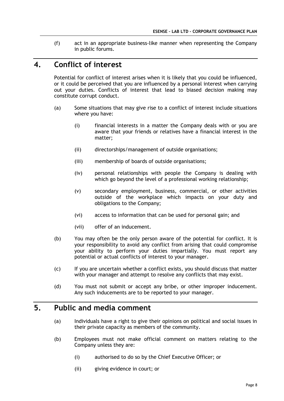(f) act in an appropriate business-like manner when representing the Company in public forums.

# **4. Conflict of interest**

Potential for conflict of interest arises when it is likely that you could be influenced, or it could be perceived that you are influenced by a personal interest when carrying out your duties. Conflicts of interest that lead to biased decision making may constitute corrupt conduct.

- (a) Some situations that may give rise to a conflict of interest include situations where you have:
	- (i) financial interests in a matter the Company deals with or you are aware that your friends or relatives have a financial interest in the matter;
	- (ii) directorships/management of outside organisations;
	- (iii) membership of boards of outside organisations;
	- (iv) personal relationships with people the Company is dealing with which go beyond the level of a professional working relationship;
	- (v) secondary employment, business, commercial, or other activities outside of the workplace which impacts on your duty and obligations to the Company;
	- (vi) access to information that can be used for personal gain; and
	- (vii) offer of an inducement.
- (b) You may often be the only person aware of the potential for conflict. It is your responsibility to avoid any conflict from arising that could compromise your ability to perform your duties impartially. You must report any potential or actual conflicts of interest to your manager.
- (c) If you are uncertain whether a conflict exists, you should discuss that matter with your manager and attempt to resolve any conflicts that may exist.
- (d) You must not submit or accept any bribe, or other improper inducement. Any such inducements are to be reported to your manager.

# **5. Public and media comment**

- (a) Individuals have a right to give their opinions on political and social issues in their private capacity as members of the community.
- (b) Employees must not make official comment on matters relating to the Company unless they are:
	- (i) authorised to do so by the Chief Executive Officer; or
	- (ii) giving evidence in court; or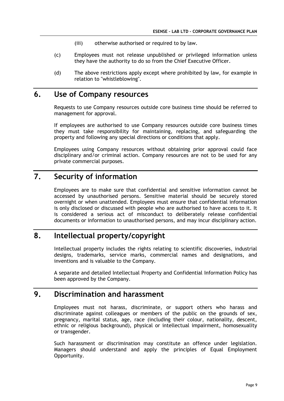- (iii) otherwise authorised or required to by law.
- (c) Employees must not release unpublished or privileged information unless they have the authority to do so from the Chief Executive Officer.
- (d) The above restrictions apply except where prohibited by law, for example in relation to "whistleblowing".

# **6. Use of Company resources**

Requests to use Company resources outside core business time should be referred to management for approval.

If employees are authorised to use Company resources outside core business times they must take responsibility for maintaining, replacing, and safeguarding the property and following any special directions or conditions that apply.

Employees using Company resources without obtaining prior approval could face disciplinary and/or criminal action. Company resources are not to be used for any private commercial purposes.

# **7. Security of information**

Employees are to make sure that confidential and sensitive information cannot be accessed by unauthorised persons. Sensitive material should be securely stored overnight or when unattended. Employees must ensure that confidential information is only disclosed or discussed with people who are authorised to have access to it. It is considered a serious act of misconduct to deliberately release confidential documents or information to unauthorised persons, and may incur disciplinary action.

# **8. Intellectual property/copyright**

Intellectual property includes the rights relating to scientific discoveries, industrial designs, trademarks, service marks, commercial names and designations, and inventions and is valuable to the Company.

A separate and detailed Intellectual Property and Confidential Information Policy has been approved by the Company.

# **9. Discrimination and harassment**

Employees must not harass, discriminate, or support others who harass and discriminate against colleagues or members of the public on the grounds of sex, pregnancy, marital status, age, race (including their colour, nationality, descent, ethnic or religious background), physical or intellectual impairment, homosexuality or transgender.

Such harassment or discrimination may constitute an offence under legislation. Managers should understand and apply the principles of Equal Employment Opportunity.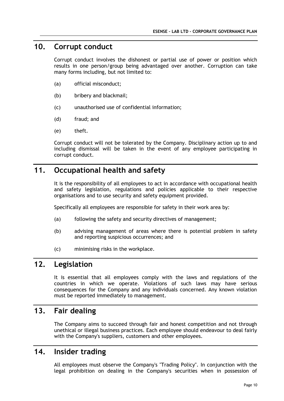# **10. Corrupt conduct**

Corrupt conduct involves the dishonest or partial use of power or position which results in one person/group being advantaged over another. Corruption can take many forms including, but not limited to:

- (a) official misconduct;
- (b) bribery and blackmail;
- (c) unauthorised use of confidential information;
- (d) fraud; and
- (e) theft.

Corrupt conduct will not be tolerated by the Company. Disciplinary action up to and including dismissal will be taken in the event of any employee participating in corrupt conduct.

# **11. Occupational health and safety**

It is the responsibility of all employees to act in accordance with occupational health and safety legislation, regulations and policies applicable to their respective organisations and to use security and safety equipment provided.

Specifically all employees are responsible for safety in their work area by:

- (a) following the safety and security directives of management;
- (b) advising management of areas where there is potential problem in safety and reporting suspicious occurrences; and
- (c) minimising risks in the workplace.

# **12. Legislation**

It is essential that all employees comply with the laws and regulations of the countries in which we operate. Violations of such laws may have serious consequences for the Company and any individuals concerned. Any known violation must be reported immediately to management.

# **13. Fair dealing**

The Company aims to succeed through fair and honest competition and not through unethical or illegal business practices. Each employee should endeavour to deal fairly with the Company's suppliers, customers and other employees.

# **14. Insider trading**

All employees must observe the Company's "Trading Policy". In conjunction with the legal prohibition on dealing in the Company's securities when in possession of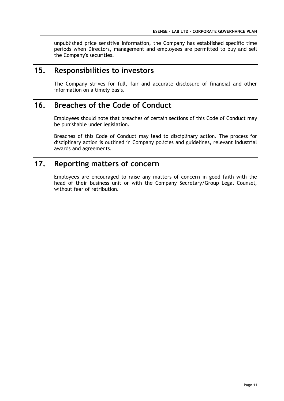unpublished price sensitive information, the Company has established specific time periods when Directors, management and employees are permitted to buy and sell the Company's securities.

# **15. Responsibilities to investors**

The Company strives for full, fair and accurate disclosure of financial and other information on a timely basis.

# **16. Breaches of the Code of Conduct**

Employees should note that breaches of certain sections of this Code of Conduct may be punishable under legislation.

Breaches of this Code of Conduct may lead to disciplinary action. The process for disciplinary action is outlined in Company policies and guidelines, relevant industrial awards and agreements.

# **17. Reporting matters of concern**

Employees are encouraged to raise any matters of concern in good faith with the head of their business unit or with the Company Secretary/Group Legal Counsel, without fear of retribution.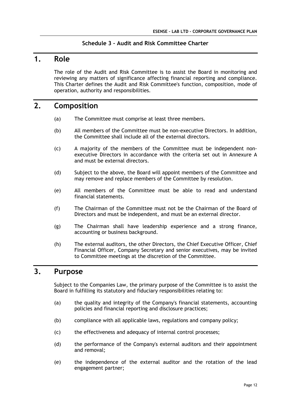#### **Schedule 3 – Audit and Risk Committee Charter**

# **1. Role**

The role of the Audit and Risk Committee is to assist the Board in monitoring and reviewing any matters of significance affecting financial reporting and compliance. This Charter defines the Audit and Risk Committee's function, composition, mode of operation, authority and responsibilities.

### **2. Composition**

- (a) The Committee must comprise at least three members.
- (b) All members of the Committee must be non-executive Directors. In addition, the Committee shall include all of the external directors.
- (c) A majority of the members of the Committee must be independent nonexecutive Directors in accordance with the criteria set out in Annexure A and must be external directors.
- (d) Subject to the above, the Board will appoint members of the Committee and may remove and replace members of the Committee by resolution.
- (e) All members of the Committee must be able to read and understand financial statements.
- (f) The Chairman of the Committee must not be the Chairman of the Board of Directors and must be independent, and must be an external director.
- (g) The Chairman shall have leadership experience and a strong finance, accounting or business background.
- (h) The external auditors, the other Directors, the Chief Executive Officer, Chief Financial Officer, Company Secretary and senior executives, may be invited to Committee meetings at the discretion of the Committee.

# **3. Purpose**

Subject to the Companies Law, the primary purpose of the Committee is to assist the Board in fulfilling its statutory and fiduciary responsibilities relating to:

- (a) the quality and integrity of the Company's financial statements, accounting policies and financial reporting and disclosure practices;
- (b) compliance with all applicable laws, regulations and company policy;
- (c) the effectiveness and adequacy of internal control processes;
- (d) the performance of the Company's external auditors and their appointment and removal;
- (e) the independence of the external auditor and the rotation of the lead engagement partner;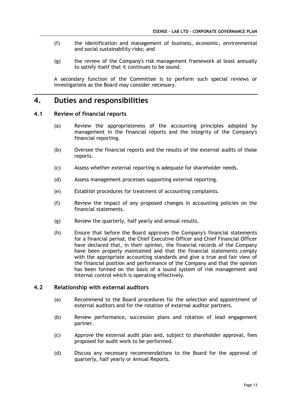- (f) the identification and management of business, economic, environmental and social sustainability risks; and
- (g) the review of the Company's risk management framework at least annually to satisfy itself that it continues to be sound.

A secondary function of the Committee is to perform such special reviews or investigations as the Board may consider necessary.

# **4. Duties and responsibilities**

#### **4.1 Review of financial reports**

- (a) Review the appropriateness of the accounting principles adopted by management in the financial reports and the integrity of the Company's financial reporting.
- (b) Oversee the financial reports and the results of the external audits of those reports.
- (c) Assess whether external reporting is adequate for shareholder needs.
- (d) Assess management processes supporting external reporting.
- (e) Establish procedures for treatment of accounting complaints.
- (f) Review the impact of any proposed changes in accounting policies on the financial statements.
- (g) Review the quarterly, half yearly and annual results.
- (h) Ensure that before the Board approves the Company's financial statements for a financial period, the Chief Executive Officer and Chief Financial Officer have declared that, in their opinion, the financial records of the Company have been properly maintained and that the financial statements comply with the appropriate accounting standards and give a true and fair view of the financial position and performance of the Company and that the opinion has been formed on the basis of a sound system of risk management and internal control which is operating effectively.

#### **4.2 Relationship with external auditors**

- (a) Recommend to the Board procedures for the selection and appointment of external auditors and for the rotation of external auditor partners.
- (b) Review performance, succession plans and rotation of lead engagement partner.
- (c) Approve the external audit plan and, subject to shareholder approval, fees proposed for audit work to be performed.
- (d) Discuss any necessary recommendations to the Board for the approval of quarterly, half yearly or Annual Reports.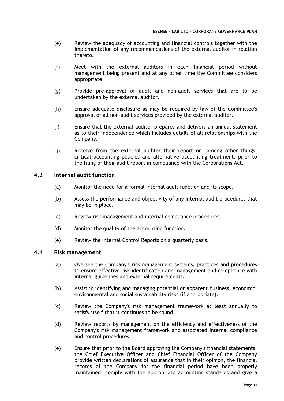- (e) Review the adequacy of accounting and financial controls together with the implementation of any recommendations of the external auditor in relation thereto.
- (f) Meet with the external auditors in each financial period without management being present and at any other time the Committee considers appropriate.
- (g) Provide pre-approval of audit and non-audit services that are to be undertaken by the external auditor.
- (h) Ensure adequate disclosure as may be required by law of the Committee's approval of all non-audit services provided by the external auditor.
- (i) Ensure that the external auditor prepares and delivers an annual statement as to their independence which includes details of all relationships with the Company.
- (j) Receive from the external auditor their report on, among other things, critical accounting policies and alternative accounting treatment, prior to the filing of their audit report in compliance with the Corporations Act.

#### **4.3 Internal audit function**

- (a) Monitor the need for a formal internal audit function and its scope.
- (b) Assess the performance and objectivity of any internal audit procedures that may be in place.
- (c) Review risk management and internal compliance procedures.
- (d) Monitor the quality of the accounting function.
- (e) Review the Internal Control Reports on a quarterly basis.

#### **4.4 Risk management**

- (a) Oversee the Company's risk management systems, practices and procedures to ensure effective risk identification and management and compliance with internal guidelines and external requirements.
- (b) Assist in identifying and managing potential or apparent business, economic, environmental and social sustainability risks (if appropriate).
- (c) Review the Company's risk management framework at least annually to satisfy itself that it continues to be sound.
- (d) Review reports by management on the efficiency and effectiveness of the Company's risk management framework and associated internal compliance and control procedures.
- (e) Ensure that prior to the Board approving the Company's financial statements, the Chief Executive Officer and Chief Financial Officer of the Company provide written declarations of assurance that in their opinion, the financial records of the Company for the financial period have been properly maintained, comply with the appropriate accounting standards and give a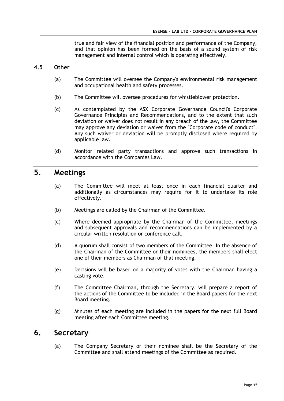true and fair view of the financial position and performance of the Company, and that opinion has been formed on the basis of a sound system of risk management and internal control which is operating effectively.

#### **4.5 Other**

- (a) The Committee will oversee the Company's environmental risk management and occupational health and safety processes.
- (b) The Committee will oversee procedures for whistleblower protection.
- (c) As contemplated by the ASX Corporate Governance Council's Corporate Governance Principles and Recommendations, and to the extent that such deviation or waiver does not result in any breach of the law, the Committee may approve any deviation or waiver from the "Corporate code of conduct". Any such waiver or deviation will be promptly disclosed where required by applicable law.
- (d) Monitor related party transactions and approve such transactions in accordance with the Companies Law.

# **5. Meetings**

- (a) The Committee will meet at least once in each financial quarter and additionally as circumstances may require for it to undertake its role effectively.
- (b) Meetings are called by the Chairman of the Committee.
- (c) Where deemed appropriate by the Chairman of the Committee, meetings and subsequent approvals and recommendations can be implemented by a circular written resolution or conference call.
- (d) A quorum shall consist of two members of the Committee. In the absence of the Chairman of the Committee or their nominees, the members shall elect one of their members as Chairman of that meeting.
- (e) Decisions will be based on a majority of votes with the Chairman having a casting vote.
- (f) The Committee Chairman, through the Secretary, will prepare a report of the actions of the Committee to be included in the Board papers for the next Board meeting.
- (g) Minutes of each meeting are included in the papers for the next full Board meeting after each Committee meeting.

### **6. Secretary**

(a) The Company Secretary or their nominee shall be the Secretary of the Committee and shall attend meetings of the Committee as required.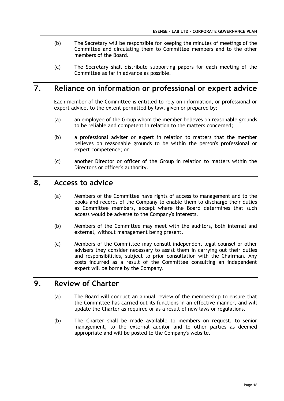- (b) The Secretary will be responsible for keeping the minutes of meetings of the Committee and circulating them to Committee members and to the other members of the Board.
- (c) The Secretary shall distribute supporting papers for each meeting of the Committee as far in advance as possible.

# **7. Reliance on information or professional or expert advice**

Each member of the Committee is entitled to rely on information, or professional or expert advice, to the extent permitted by law, given or prepared by:

- (a) an employee of the Group whom the member believes on reasonable grounds to be reliable and competent in relation to the matters concerned;
- (b) a professional adviser or expert in relation to matters that the member believes on reasonable grounds to be within the person's professional or expert competence; or
- (c) another Director or officer of the Group in relation to matters within the Director's or officer's authority.

## **8. Access to advice**

- (a) Members of the Committee have rights of access to management and to the books and records of the Company to enable them to discharge their duties as Committee members, except where the Board determines that such access would be adverse to the Company's interests.
- (b) Members of the Committee may meet with the auditors, both internal and external, without management being present.
- (c) Members of the Committee may consult independent legal counsel or other advisers they consider necessary to assist them in carrying out their duties and responsibilities, subject to prior consultation with the Chairman. Any costs incurred as a result of the Committee consulting an independent expert will be borne by the Company.

# **9. Review of Charter**

- (a) The Board will conduct an annual review of the membership to ensure that the Committee has carried out its functions in an effective manner, and will update the Charter as required or as a result of new laws or regulations.
- (b) The Charter shall be made available to members on request, to senior management, to the external auditor and to other parties as deemed appropriate and will be posted to the Company's website.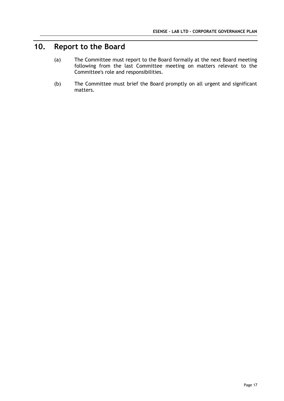# **10. Report to the Board**

- (a) The Committee must report to the Board formally at the next Board meeting following from the last Committee meeting on matters relevant to the Committee's role and responsibilities.
- (b) The Committee must brief the Board promptly on all urgent and significant matters.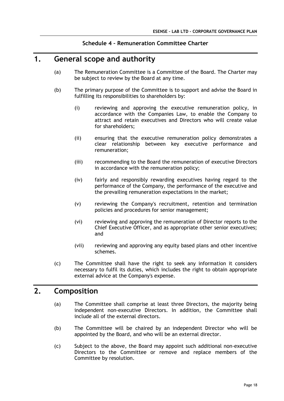#### **Schedule 4 – Remuneration Committee Charter**

### **1. General scope and authority**

- (a) The Remuneration Committee is a Committee of the Board. The Charter may be subject to review by the Board at any time.
- (b) The primary purpose of the Committee is to support and advise the Board in fulfilling its responsibilities to shareholders by:
	- (i) reviewing and approving the executive remuneration policy, in accordance with the Companies Law, to enable the Company to attract and retain executives and Directors who will create value for shareholders;
	- (ii) ensuring that the executive remuneration policy demonstrates a clear relationship between key executive performance and remuneration;
	- (iii) recommending to the Board the remuneration of executive Directors in accordance with the remuneration policy;
	- (iv) fairly and responsibly rewarding executives having regard to the performance of the Company, the performance of the executive and the prevailing remuneration expectations in the market;
	- (v) reviewing the Company's recruitment, retention and termination policies and procedures for senior management;
	- (vi) reviewing and approving the remuneration of Director reports to the Chief Executive Officer, and as appropriate other senior executives; and
	- (vii) reviewing and approving any equity based plans and other incentive schemes.
- (c) The Committee shall have the right to seek any information it considers necessary to fulfil its duties, which includes the right to obtain appropriate external advice at the Company's expense.

# **2. Composition**

- (a) The Committee shall comprise at least three Directors, the majority being independent non-executive Directors. In addition, the Committee shall include all of the external directors.
- (b) The Committee will be chaired by an independent Director who will be appointed by the Board, and who will be an external director.
- (c) Subject to the above, the Board may appoint such additional non-executive Directors to the Committee or remove and replace members of the Committee by resolution.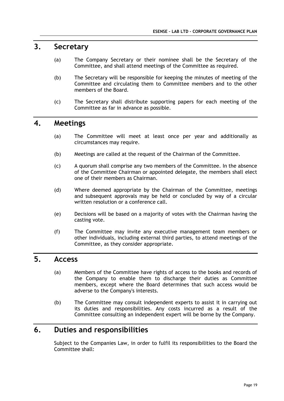# **3. Secretary**

- (a) The Company Secretary or their nominee shall be the Secretary of the Committee, and shall attend meetings of the Committee as required.
- (b) The Secretary will be responsible for keeping the minutes of meeting of the Committee and circulating them to Committee members and to the other members of the Board.
- (c) The Secretary shall distribute supporting papers for each meeting of the Committee as far in advance as possible.

# **4. Meetings**

- (a) The Committee will meet at least once per year and additionally as circumstances may require.
- (b) Meetings are called at the request of the Chairman of the Committee.
- (c) A quorum shall comprise any two members of the Committee. In the absence of the Committee Chairman or appointed delegate, the members shall elect one of their members as Chairman.
- (d) Where deemed appropriate by the Chairman of the Committee, meetings and subsequent approvals may be held or concluded by way of a circular written resolution or a conference call.
- (e) Decisions will be based on a majority of votes with the Chairman having the casting vote.
- (f) The Committee may invite any executive management team members or other individuals, including external third parties, to attend meetings of the Committee, as they consider appropriate.

# **5. Access**

- (a) Members of the Committee have rights of access to the books and records of the Company to enable them to discharge their duties as Committee members, except where the Board determines that such access would be adverse to the Company's interests.
- (b) The Committee may consult independent experts to assist it in carrying out its duties and responsibilities. Any costs incurred as a result of the Committee consulting an independent expert will be borne by the Company.

# **6. Duties and responsibilities**

Subject to the Companies Law, in order to fulfil its responsibilities to the Board the Committee shall: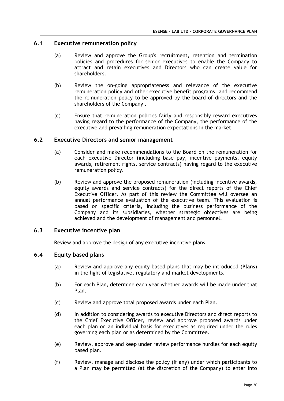#### **6.1 Executive remuneration policy**

- (a) Review and approve the Group's recruitment, retention and termination policies and procedures for senior executives to enable the Company to attract and retain executives and Directors who can create value for shareholders.
- (b) Review the on-going appropriateness and relevance of the executive remuneration policy and other executive benefit programs, and recommend the remuneration policy to be approved by the board of directors and the shareholders of the Company .
- (c) Ensure that remuneration policies fairly and responsibly reward executives having regard to the performance of the Company, the performance of the executive and prevailing remuneration expectations in the market.

#### **6.2 Executive Directors and senior management**

- (a) Consider and make recommendations to the Board on the remuneration for each executive Director (including base pay, incentive payments, equity awards, retirement rights, service contracts) having regard to the executive remuneration policy.
- (b) Review and approve the proposed remuneration (including incentive awards, equity awards and service contracts) for the direct reports of the Chief Executive Officer. As part of this review the Committee will oversee an annual performance evaluation of the executive team. This evaluation is based on specific criteria, including the business performance of the Company and its subsidiaries, whether strategic objectives are being achieved and the development of management and personnel.

#### **6.3 Executive incentive plan**

Review and approve the design of any executive incentive plans.

#### **6.4 Equity based plans**

- (a) Review and approve any equity based plans that may be introduced (**Plans**) in the light of legislative, regulatory and market developments.
- (b) For each Plan, determine each year whether awards will be made under that Plan.
- (c) Review and approve total proposed awards under each Plan.
- (d) In addition to considering awards to executive Directors and direct reports to the Chief Executive Officer, review and approve proposed awards under each plan on an individual basis for executives as required under the rules governing each plan or as determined by the Committee.
- (e) Review, approve and keep under review performance hurdles for each equity based plan.
- (f) Review, manage and disclose the policy (if any) under which participants to a Plan may be permitted (at the discretion of the Company) to enter into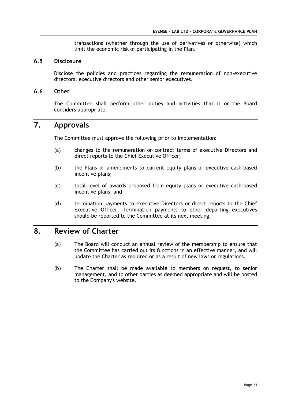transactions (whether through the use of derivatives or otherwise) which limit the economic risk of participating in the Plan.

#### **6.5 Disclosure**

Disclose the policies and practices regarding the remuneration of non-executive directors, executive directors and other senior executives.

#### **6.6 Other**

The Committee shall perform other duties and activities that it or the Board considers appropriate.

# **7. Approvals**

The Committee must approve the following prior to implementation:

- (a) changes to the remuneration or contract terms of executive Directors and direct reports to the Chief Executive Officer;
- (b) the Plans or amendments to current equity plans or executive cash-based incentive plans;
- (c) total level of awards proposed from equity plans or executive cash-based incentive plans; and
- (d) termination payments to executive Directors or direct reports to the Chief Executive Officer. Termination payments to other departing executives should be reported to the Committee at its next meeting.

# **8. Review of Charter**

- (a) The Board will conduct an annual review of the membership to ensure that the Committee has carried out its functions in an effective manner, and will update the Charter as required or as a result of new laws or regulations.
- (b) The Charter shall be made available to members on request, to senior management, and to other parties as deemed appropriate and will be posted to the Company's website.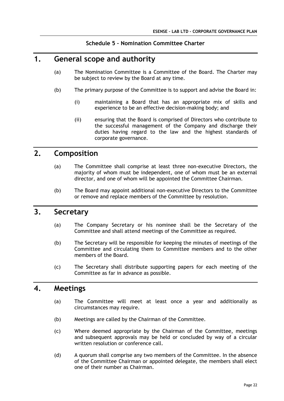#### **Schedule 5 – Nomination Committee Charter**

# **1. General scope and authority**

- (a) The Nomination Committee is a Committee of the Board. The Charter may be subject to review by the Board at any time.
- (b) The primary purpose of the Committee is to support and advise the Board in:
	- (i) maintaining a Board that has an appropriate mix of skills and experience to be an effective decision-making body; and
	- (ii) ensuring that the Board is comprised of Directors who contribute to the successful management of the Company and discharge their duties having regard to the law and the highest standards of corporate governance.

# **2. Composition**

- (a) The Committee shall comprise at least three non-executive Directors, the majority of whom must be independent, one of whom must be an external director, and one of whom will be appointed the Committee Chairman.
- (b) The Board may appoint additional non-executive Directors to the Committee or remove and replace members of the Committee by resolution.

# **3. Secretary**

- (a) The Company Secretary or his nominee shall be the Secretary of the Committee and shall attend meetings of the Committee as required.
- (b) The Secretary will be responsible for keeping the minutes of meetings of the Committee and circulating them to Committee members and to the other members of the Board.
- (c) The Secretary shall distribute supporting papers for each meeting of the Committee as far in advance as possible.

### **4. Meetings**

- (a) The Committee will meet at least once a year and additionally as circumstances may require.
- (b) Meetings are called by the Chairman of the Committee.
- (c) Where deemed appropriate by the Chairman of the Committee, meetings and subsequent approvals may be held or concluded by way of a circular written resolution or conference call.
- (d) A quorum shall comprise any two members of the Committee. In the absence of the Committee Chairman or appointed delegate, the members shall elect one of their number as Chairman.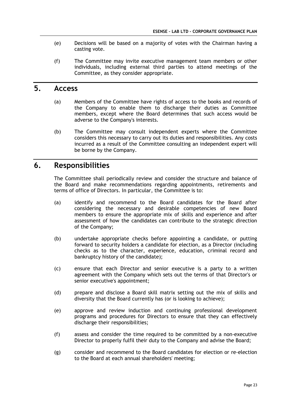- (e) Decisions will be based on a majority of votes with the Chairman having a casting vote.
- (f) The Committee may invite executive management team members or other individuals, including external third parties to attend meetings of the Committee, as they consider appropriate.

### **5. Access**

- (a) Members of the Committee have rights of access to the books and records of the Company to enable them to discharge their duties as Committee members, except where the Board determines that such access would be adverse to the Company's interests.
- (b) The Committee may consult independent experts where the Committee considers this necessary to carry out its duties and responsibilities. Any costs incurred as a result of the Committee consulting an independent expert will be borne by the Company.

# **6. Responsibilities**

The Committee shall periodically review and consider the structure and balance of the Board and make recommendations regarding appointments, retirements and terms of office of Directors. In particular, the Committee is to:

- (a) identify and recommend to the Board candidates for the Board after considering the necessary and desirable competencies of new Board members to ensure the appropriate mix of skills and experience and after assessment of how the candidates can contribute to the strategic direction of the Company;
- (b) undertake appropriate checks before appointing a candidate, or putting forward to security holders a candidate for election, as a Director (including checks as to the character, experience, education, criminal record and bankruptcy history of the candidate);
- (c) ensure that each Director and senior executive is a party to a written agreement with the Company which sets out the terms of that Director's or senior executive's appointment;
- (d) prepare and disclose a Board skill matrix setting out the mix of skills and diversity that the Board currently has (or is looking to achieve);
- (e) approve and review induction and continuing professional development programs and procedures for Directors to ensure that they can effectively discharge their responsibilities;
- (f) assess and consider the time required to be committed by a non-executive Director to properly fulfil their duty to the Company and advise the Board;
- (g) consider and recommend to the Board candidates for election or re-election to the Board at each annual shareholders' meeting;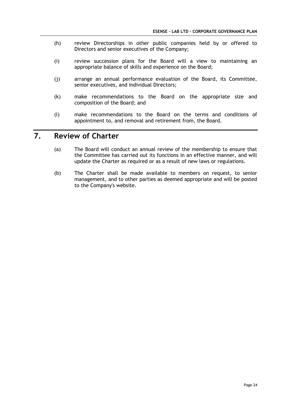- (h) review Directorships in other public companies held by or offered to Directors and senior executives of the Company;
- (i) review succession plans for the Board will a view to maintaining an appropriate balance of skills and experience on the Board;
- (j) arrange an annual performance evaluation of the Board, its Committee, senior executives, and individual Directors;
- (k) make recommendations to the Board on the appropriate size and composition of the Board; and
- (l) make recommendations to the Board on the terms and conditions of appointment to, and removal and retirement from, the Board.

# **7. Review of Charter**

- (a) The Board will conduct an annual review of the membership to ensure that the Committee has carried out its functions in an effective manner, and will update the Charter as required or as a result of new laws or regulations.
- (b) The Charter shall be made available to members on request, to senior management, and to other parties as deemed appropriate and will be posted to the Company's website.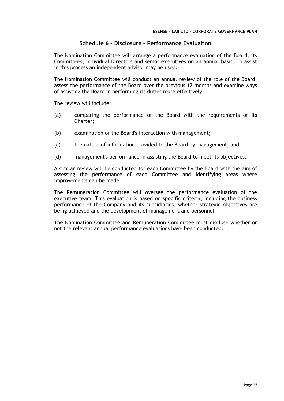#### **Schedule 6 – Disclosure – Performance Evaluation**

The Nomination Committee will arrange a performance evaluation of the Board, its Committees, individual Directors and senior executives on an annual basis. To assist in this process an independent advisor may be used.

The Nomination Committee will conduct an annual review of the role of the Board, assess the performance of the Board over the previous 12 months and examine ways of assisting the Board in performing its duties more effectively.

The review will include:

- (a) comparing the performance of the Board with the requirements of its Charter;
- (b) examination of the Board's interaction with management;
- (c) the nature of information provided to the Board by management; and
- (d) management's performance in assisting the Board to meet its objectives.

A similar review will be conducted for each Committee by the Board with the aim of assessing the performance of each Committee and identifying areas where improvements can be made.

The Remuneration Committee will oversee the performance evaluation of the executive team. This evaluation is based on specific criteria, including the business performance of the Company and its subsidiaries, whether strategic objectives are being achieved and the development of management and personnel.

The Nomination Committee and Remuneration Committee must disclose whether or not the relevant annual performance evaluations have been conducted.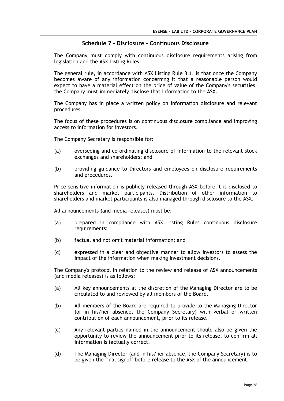#### **Schedule 7 – Disclosure – Continuous Disclosure**

The Company must comply with continuous disclosure requirements arising from legislation and the ASX Listing Rules.

The general rule, in accordance with ASX Listing Rule 3.1, is that once the Company becomes aware of any information concerning it that a reasonable person would expect to have a material effect on the price of value of the Company's securities, the Company must immediately disclose that information to the ASX.

The Company has in place a written policy on information disclosure and relevant procedures.

The focus of these procedures is on continuous disclosure compliance and improving access to information for investors.

The Company Secretary is responsible for:

- (a) overseeing and co-ordinating disclosure of information to the relevant stock exchanges and shareholders; and
- (b) providing guidance to Directors and employees on disclosure requirements and procedures.

Price sensitive information is publicly released through ASX before it is disclosed to shareholders and market participants. Distribution of other information to shareholders and market participants is also managed through disclosure to the ASX.

All announcements (and media releases) must be:

- (a) prepared in compliance with ASX Listing Rules continuous disclosure requirements;
- (b) factual and not omit material information; and
- (c) expressed in a clear and objective manner to allow investors to assess the impact of the information when making investment decisions.

The Company's protocol in relation to the review and release of ASX announcements (and media releases) is as follows:

- (a) All key announcements at the discretion of the Managing Director are to be circulated to and reviewed by all members of the Board.
- (b) All members of the Board are required to provide to the Managing Director (or in his/her absence, the Company Secretary) with verbal or written contribution of each announcement, prior to its release.
- (c) Any relevant parties named in the announcement should also be given the opportunity to review the announcement prior to its release, to confirm all information is factually correct.
- (d) The Managing Director (and in his/her absence, the Company Secretary) is to be given the final signoff before release to the ASX of the announcement.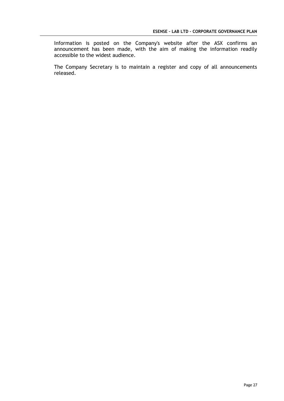Information is posted on the Company's website after the ASX confirms an announcement has been made, with the aim of making the information readily accessible to the widest audience.

The Company Secretary is to maintain a register and copy of all announcements released.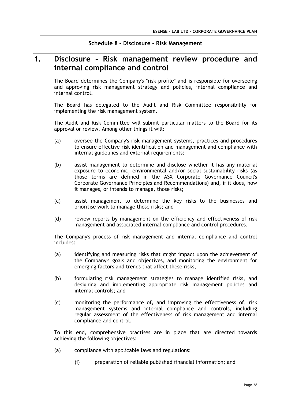#### **Schedule 8 – Disclosure – Risk Management**

# **1. Disclosure – Risk management review procedure and internal compliance and control**

The Board determines the Company's "risk profile" and is responsible for overseeing and approving risk management strategy and policies, internal compliance and internal control.

The Board has delegated to the Audit and Risk Committee responsibility for implementing the risk management system.

The Audit and Risk Committee will submit particular matters to the Board for its approval or review. Among other things it will:

- (a) oversee the Company's risk management systems, practices and procedures to ensure effective risk identification and management and compliance with internal guidelines and external requirements;
- (b) assist management to determine and disclose whether it has any material exposure to economic, environmental and/or social sustainability risks (as those terms are defined in the ASX Corporate Governance Council's Corporate Governance Principles and Recommendations) and, if it does, how it manages, or intends to manage, those risks;
- (c) assist management to determine the key risks to the businesses and prioritise work to manage those risks; and
- (d) review reports by management on the efficiency and effectiveness of risk management and associated internal compliance and control procedures.

The Company's process of risk management and internal compliance and control includes:

- (a) identifying and measuring risks that might impact upon the achievement of the Company's goals and objectives, and monitoring the environment for emerging factors and trends that affect these risks;
- (b) formulating risk management strategies to manage identified risks, and designing and implementing appropriate risk management policies and internal controls; and
- (c) monitoring the performance of, and improving the effectiveness of, risk management systems and internal compliance and controls, including regular assessment of the effectiveness of risk management and internal compliance and control.

To this end, comprehensive practises are in place that are directed towards achieving the following objectives:

- (a) compliance with applicable laws and regulations:
	- (i) preparation of reliable published financial information; and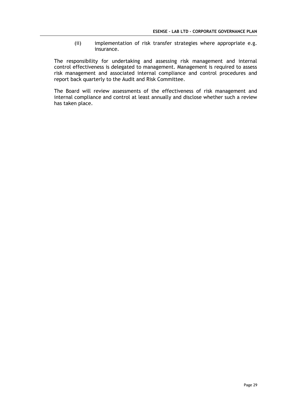(ii) implementation of risk transfer strategies where appropriate e.g. insurance.

The responsibility for undertaking and assessing risk management and internal control effectiveness is delegated to management. Management is required to assess risk management and associated internal compliance and control procedures and report back quarterly to the Audit and Risk Committee.

The Board will review assessments of the effectiveness of risk management and internal compliance and control at least annually and disclose whether such a review has taken place.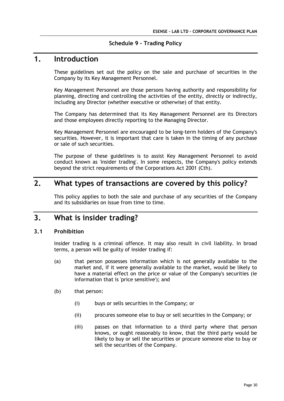#### **Schedule 9 – Trading Policy**

### **1. Introduction**

These guidelines set out the policy on the sale and purchase of securities in the Company by its Key Management Personnel.

Key Management Personnel are those persons having authority and responsibility for planning, directing and controlling the activities of the entity, directly or indirectly, including any Director (whether executive or otherwise) of that entity.

The Company has determined that its Key Management Personnel are its Directors and those employees directly reporting to the Managing Director.

Key Management Personnel are encouraged to be long-term holders of the Company's securities. However, it is important that care is taken in the timing of any purchase or sale of such securities.

The purpose of these guidelines is to assist Key Management Personnel to avoid conduct known as 'insider trading'. In some respects, the Company's policy extends beyond the strict requirements of the Corporations Act 2001 (Cth).

# **2. What types of transactions are covered by this policy?**

This policy applies to both the sale and purchase of any securities of the Company and its subsidiaries on issue from time to time.

# **3. What is insider trading?**

#### **3.1 Prohibition**

Insider trading is a criminal offence. It may also result in civil liability. In broad terms, a person will be guilty of insider trading if:

- (a) that person possesses information which is not generally available to the market and, if it were generally available to the market, would be likely to have a material effect on the price or value of the Company's securities (ie information that is 'price sensitive'); and
- (b) that person:
	- (i) buys or sells securities in the Company; or
	- (ii) procures someone else to buy or sell securities in the Company; or
	- (iii) passes on that information to a third party where that person knows, or ought reasonably to know, that the third party would be likely to buy or sell the securities or procure someone else to buy or sell the securities of the Company.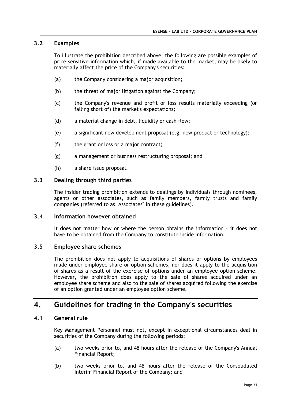#### **3.2 Examples**

To illustrate the prohibition described above, the following are possible examples of price sensitive information which, if made available to the market, may be likely to materially affect the price of the Company's securities:

- (a) the Company considering a major acquisition;
- (b) the threat of major litigation against the Company;
- (c) the Company's revenue and profit or loss results materially exceeding (or falling short of) the market's expectations;
- (d) a material change in debt, liquidity or cash flow;
- (e) a significant new development proposal (e.g. new product or technology);
- (f) the grant or loss or a major contract;
- (g) a management or business restructuring proposal; and
- (h) a share issue proposal.

#### **3.3 Dealing through third parties**

The insider trading prohibition extends to dealings by individuals through nominees, agents or other associates, such as family members, family trusts and family companies (referred to as "Associates" in these guidelines).

#### **3.4 Information however obtained**

It does not matter how or where the person obtains the information – it does not have to be obtained from the Company to constitute inside information.

#### **3.5 Employee share schemes**

The prohibition does not apply to acquisitions of shares or options by employees made under employee share or option schemes, nor does it apply to the acquisition of shares as a result of the exercise of options under an employee option scheme. However, the prohibition does apply to the sale of shares acquired under an employee share scheme and also to the sale of shares acquired following the exercise of an option granted under an employee option scheme.

# **4. Guidelines for trading in the Company's securities**

#### **4.1 General rule**

Key Management Personnel must not, except in exceptional circumstances deal in securities of the Company during the following periods:

- (a) two weeks prior to, and 48 hours after the release of the Company's Annual Financial Report;
- (b) two weeks prior to, and 48 hours after the release of the Consolidated Interim Financial Report of the Company; and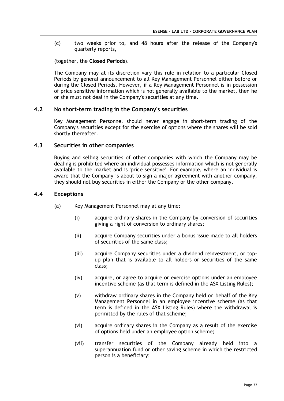(c) two weeks prior to, and 48 hours after the release of the Company's quarterly reports,

(together, the **Closed Periods**).

The Company may at its discretion vary this rule in relation to a particular Closed Periods by general announcement to all Key Management Personnel either before or during the Closed Periods. However, if a Key Management Personnel is in possession of price sensitive information which is not generally available to the market, then he or she must not deal in the Company's securities at any time.

#### **4.2 No short-term trading in the Company's securities**

Key Management Personnel should never engage in short-term trading of the Company's securities except for the exercise of options where the shares will be sold shortly thereafter.

#### **4.3 Securities in other companies**

Buying and selling securities of other companies with which the Company may be dealing is prohibited where an individual possesses information which is not generally available to the market and is 'price sensitive'. For example, where an individual is aware that the Company is about to sign a major agreement with another company, they should not buy securities in either the Company or the other company.

#### **4.4 Exceptions**

- (a) Key Management Personnel may at any time:
	- (i) acquire ordinary shares in the Company by conversion of securities giving a right of conversion to ordinary shares;
	- (ii) acquire Company securities under a bonus issue made to all holders of securities of the same class;
	- (iii) acquire Company securities under a dividend reinvestment, or topup plan that is available to all holders or securities of the same class;
	- (iv) acquire, or agree to acquire or exercise options under an employee incentive scheme (as that term is defined in the ASX Listing Rules);
	- (v) withdraw ordinary shares in the Company held on behalf of the Key Management Personnel in an employee incentive scheme (as that term is defined in the ASX Listing Rules) where the withdrawal is permitted by the rules of that scheme;
	- (vi) acquire ordinary shares in the Company as a result of the exercise of options held under an employee option scheme;
	- (vii) transfer securities of the Company already held into a superannuation fund or other saving scheme in which the restricted person is a beneficiary;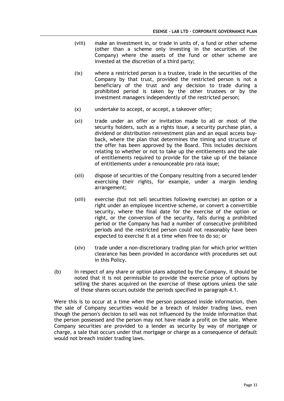- (viii) make an investment in, or trade in units of, a fund or other scheme (other than a scheme only investing in the securities of the Company) where the assets of the fund or other scheme are invested at the discretion of a third party;
- (ix) where a restricted person is a trustee, trade in the securities of the Company by that trust, provided the restricted person is not a beneficiary of the trust and any decision to trade during a prohibited period is taken by the other trustees or by the investment managers independently of the restricted person;
- (x) undertake to accept, or accept, a takeover offer;
- (xi) trade under an offer or invitation made to all or most of the security holders, such as a rights issue, a security purchase plan, a dividend or distribution reinvestment plan and an equal access buyback, where the plan that determines the timing and structure of the offer has been approved by the Board. This includes decisions relating to whether or not to take up the entitlements and the sale of entitlements required to provide for the take up of the balance of entitlements under a renounceable pro rata issue;
- (xii) dispose of securities of the Company resulting from a secured lender exercising their rights, for example, under a margin lending arrangement;
- (xiii) exercise (but not sell securities following exercise) an option or a right under an employee incentive scheme, or convert a convertible security, where the final date for the exercise of the option or right, or the conversion of the security, falls during a prohibited period or the Company has had a number of consecutive prohibited periods and the restricted person could not reasonably have been expected to exercise it at a time when free to do so; or
- (xiv) trade under a non-discretionary trading plan for which prior written clearance has been provided in accordance with procedures set out in this Policy.
- (b) In respect of any share or option plans adopted by the Company, it should be noted that it is not permissible to provide the exercise price of options by selling the shares acquired on the exercise of these options unless the sale of those shares occurs outside the periods specified in paragraph 4.1.

Were this is to occur at a time when the person possessed inside information, then the sale of Company securities would be a breach of insider trading laws, even though the person's decision to sell was not influenced by the inside information that the person possessed and the person may not have made a profit on the sale. Where Company securities are provided to a lender as security by way of mortgage or charge, a sale that occurs under that mortgage or charge as a consequence of default would not breach insider trading laws.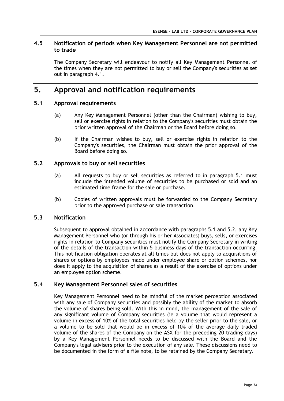#### **4.5 Notification of periods when Key Management Personnel are not permitted to trade**

The Company Secretary will endeavour to notify all Key Management Personnel of the times when they are not permitted to buy or sell the Company's securities as set out in paragraph 4.1.

# **5. Approval and notification requirements**

#### **5.1 Approval requirements**

- (a) Any Key Management Personnel (other than the Chairman) wishing to buy, sell or exercise rights in relation to the Company's securities must obtain the prior written approval of the Chairman or the Board before doing so.
- (b) If the Chairman wishes to buy, sell or exercise rights in relation to the Company's securities, the Chairman must obtain the prior approval of the Board before doing so.

#### **5.2 Approvals to buy or sell securities**

- (a) All requests to buy or sell securities as referred to in paragraph 5.1 must include the intended volume of securities to be purchased or sold and an estimated time frame for the sale or purchase.
- (b) Copies of written approvals must be forwarded to the Company Secretary prior to the approved purchase or sale transaction.

#### **5.3 Notification**

Subsequent to approval obtained in accordance with paragraphs 5.1 and 5.2, any Key Management Personnel who (or through his or her Associates) buys, sells, or exercises rights in relation to Company securities must notify the Company Secretary in writing of the details of the transaction within 5 business days of the transaction occurring. This notification obligation operates at all times but does not apply to acquisitions of shares or options by employees made under employee share or option schemes, nor does it apply to the acquisition of shares as a result of the exercise of options under an employee option scheme.

#### **5.4 Key Management Personnel sales of securities**

Key Management Personnel need to be mindful of the market perception associated with any sale of Company securities and possibly the ability of the market to absorb the volume of shares being sold. With this in mind, the management of the sale of any significant volume of Company securities (ie a volume that would represent a volume in excess of 10% of the total securities held by the seller prior to the sale, or a volume to be sold that would be in excess of 10% of the average daily traded volume of the shares of the Company on the ASX for the preceding 20 trading days) by a Key Management Personnel needs to be discussed with the Board and the Company's legal advisers prior to the execution of any sale. These discussions need to be documented in the form of a file note, to be retained by the Company Secretary.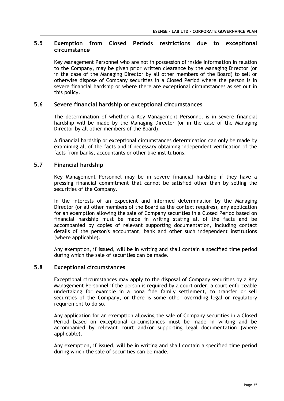#### **5.5 Exemption from Closed Periods restrictions due to exceptional circumstance**

Key Management Personnel who are not in possession of inside information in relation to the Company, may be given prior written clearance by the Managing Director (or in the case of the Managing Director by all other members of the Board) to sell or otherwise dispose of Company securities in a Closed Period where the person is in severe financial hardship or where there are exceptional circumstances as set out in this policy.

#### **5.6 Severe financial hardship or exceptional circumstances**

The determination of whether a Key Management Personnel is in severe financial hardship will be made by the Managing Director (or in the case of the Managing Director by all other members of the Board).

A financial hardship or exceptional circumstances determination can only be made by examining all of the facts and if necessary obtaining independent verification of the facts from banks, accountants or other like institutions.

#### **5.7 Financial hardship**

Key Management Personnel may be in severe financial hardship if they have a pressing financial commitment that cannot be satisfied other than by selling the securities of the Company.

In the interests of an expedient and informed determination by the Managing Director (or all other members of the Board as the context requires), any application for an exemption allowing the sale of Company securities in a Closed Period based on financial hardship must be made in writing stating all of the facts and be accompanied by copies of relevant supporting documentation, including contact details of the person's accountant, bank and other such independent institutions (where applicable).

Any exemption, if issued, will be in writing and shall contain a specified time period during which the sale of securities can be made.

#### **5.8 Exceptional circumstances**

Exceptional circumstances may apply to the disposal of Company securities by a Key Management Personnel if the person is required by a court order, a court enforceable undertaking for example in a bona fide family settlement, to transfer or sell securities of the Company, or there is some other overriding legal or regulatory requirement to do so.

Any application for an exemption allowing the sale of Company securities in a Closed Period based on exceptional circumstances must be made in writing and be accompanied by relevant court and/or supporting legal documentation (where applicable).

Any exemption, if issued, will be in writing and shall contain a specified time period during which the sale of securities can be made.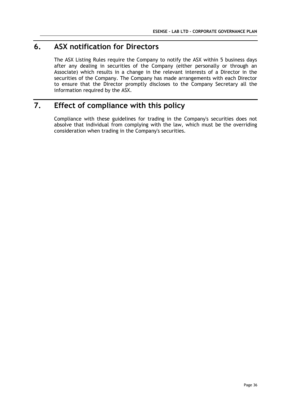# **6. ASX notification for Directors**

The ASX Listing Rules require the Company to notify the ASX within 5 business days after any dealing in securities of the Company (either personally or through an Associate) which results in a change in the relevant interests of a Director in the securities of the Company. The Company has made arrangements with each Director to ensure that the Director promptly discloses to the Company Secretary all the information required by the ASX.

# **7. Effect of compliance with this policy**

Compliance with these guidelines for trading in the Company's securities does not absolve that individual from complying with the law, which must be the overriding consideration when trading in the Company's securities.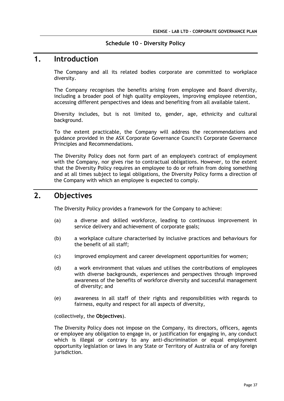#### **Schedule 10 – Diversity Policy**

### **1. Introduction**

The Company and all its related bodies corporate are committed to workplace diversity.

The Company recognises the benefits arising from employee and Board diversity, including a broader pool of high quality employees, improving employee retention, accessing different perspectives and ideas and benefiting from all available talent.

Diversity includes, but is not limited to, gender, age, ethnicity and cultural background.

To the extent practicable, the Company will address the recommendations and guidance provided in the ASX Corporate Governance Council's Corporate Governance Principles and Recommendations.

The Diversity Policy does not form part of an employee's contract of employment with the Company, nor gives rise to contractual obligations. However, to the extent that the Diversity Policy requires an employee to do or refrain from doing something and at all times subject to legal obligations, the Diversity Policy forms a direction of the Company with which an employee is expected to comply.

# **2. Objectives**

The Diversity Policy provides a framework for the Company to achieve:

- (a) a diverse and skilled workforce, leading to continuous improvement in service delivery and achievement of corporate goals;
- (b) a workplace culture characterised by inclusive practices and behaviours for the benefit of all staff;
- (c) improved employment and career development opportunities for women;
- (d) a work environment that values and utilises the contributions of employees with diverse backgrounds, experiences and perspectives through improved awareness of the benefits of workforce diversity and successful management of diversity; and
- (e) awareness in all staff of their rights and responsibilities with regards to fairness, equity and respect for all aspects of diversity,

(collectively, the **Objectives**).

The Diversity Policy does not impose on the Company, its directors, officers, agents or employee any obligation to engage in, or justification for engaging in, any conduct which is illegal or contrary to any anti-discrimination or equal employment opportunity legislation or laws in any State or Territory of Australia or of any foreign jurisdiction.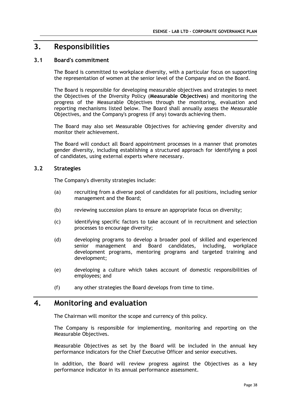# **3. Responsibilities**

#### **3.1 Board's commitment**

The Board is committed to workplace diversity, with a particular focus on supporting the representation of women at the senior level of the Company and on the Board.

The Board is responsible for developing measurable objectives and strategies to meet the Objectives of the Diversity Policy (**Measurable Objectives**) and monitoring the progress of the Measurable Objectives through the monitoring, evaluation and reporting mechanisms listed below. The Board shall annually assess the Measurable Objectives, and the Company's progress (if any) towards achieving them.

The Board may also set Measurable Objectives for achieving gender diversity and monitor their achievement.

The Board will conduct all Board appointment processes in a manner that promotes gender diversity, including establishing a structured approach for identifying a pool of candidates, using external experts where necessary.

#### **3.2 Strategies**

The Company's diversity strategies include:

- (a) recruiting from a diverse pool of candidates for all positions, including senior management and the Board;
- (b) reviewing succession plans to ensure an appropriate focus on diversity;
- (c) identifying specific factors to take account of in recruitment and selection processes to encourage diversity;
- (d) developing programs to develop a broader pool of skilled and experienced senior management and Board candidates, including, workplace development programs, mentoring programs and targeted training and development;
- (e) developing a culture which takes account of domestic responsibilities of employees; and
- (f) any other strategies the Board develops from time to time.

### **4. Monitoring and evaluation**

The Chairman will monitor the scope and currency of this policy.

The Company is responsible for implementing, monitoring and reporting on the Measurable Objectives.

Measurable Objectives as set by the Board will be included in the annual key performance indicators for the Chief Executive Officer and senior executives.

In addition, the Board will review progress against the Objectives as a key performance indicator in its annual performance assessment.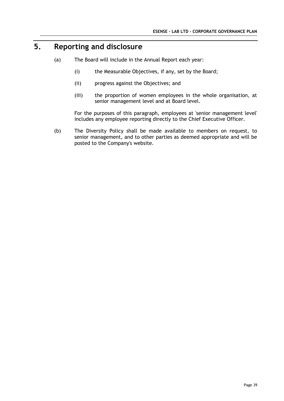# **5. Reporting and disclosure**

- (a) The Board will include in the Annual Report each year:
	- (i) the Measurable Objectives, if any, set by the Board;
	- (ii) progress against the Objectives; and
	- (iii) the proportion of women employees in the whole organisation, at senior management level and at Board level.

For the purposes of this paragraph, employees at 'senior management level' includes any employee reporting directly to the Chief Executive Officer.

(b) The Diversity Policy shall be made available to members on request, to senior management, and to other parties as deemed appropriate and will be posted to the Company's website.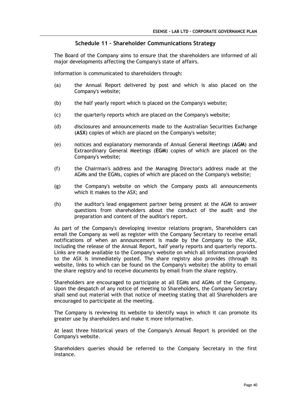#### **Schedule 11 – Shareholder Communications Strategy**

The Board of the Company aims to ensure that the shareholders are informed of all major developments affecting the Company's state of affairs.

Information is communicated to shareholders through:

- (a) the Annual Report delivered by post and which is also placed on the Company's website;
- (b) the half yearly report which is placed on the Company's website;
- (c) the quarterly reports which are placed on the Company's website;
- (d) disclosures and announcements made to the Australian Securities Exchange (**ASX**) copies of which are placed on the Company's website;
- (e) notices and explanatory memoranda of Annual General Meetings (**AGM**) and Extraordinary General Meetings (**EGM**) copies of which are placed on the Company's website;
- (f) the Chairman's address and the Managing Director's address made at the AGMs and the EGMs, copies of which are placed on the Company's website;
- (g) the Company's website on which the Company posts all announcements which it makes to the ASX; and
- (h) the auditor's lead engagement partner being present at the AGM to answer questions from shareholders about the conduct of the audit and the preparation and content of the auditor's report.

As part of the Company's developing investor relations program, Shareholders can email the Company as well as register with the Company Secretary to receive email notifications of when an announcement is made by the Company to the ASX, including the release of the Annual Report, half yearly reports and quarterly reports. Links are made available to the Company's website on which all information provided to the ASX is immediately posted. The share registry also provides (through its website, links to which can be found on the Company's website) the ability to email the share registry and to receive documents by email from the share registry.

Shareholders are encouraged to participate at all EGMs and AGMs of the Company. Upon the despatch of any notice of meeting to Shareholders, the Company Secretary shall send out material with that notice of meeting stating that all Shareholders are encouraged to participate at the meeting.

The Company is reviewing its website to identify ways in which it can promote its greater use by shareholders and make it more informative.

At least three historical years of the Company's Annual Report is provided on the Company's website.

Shareholders queries should be referred to the Company Secretary in the first instance.